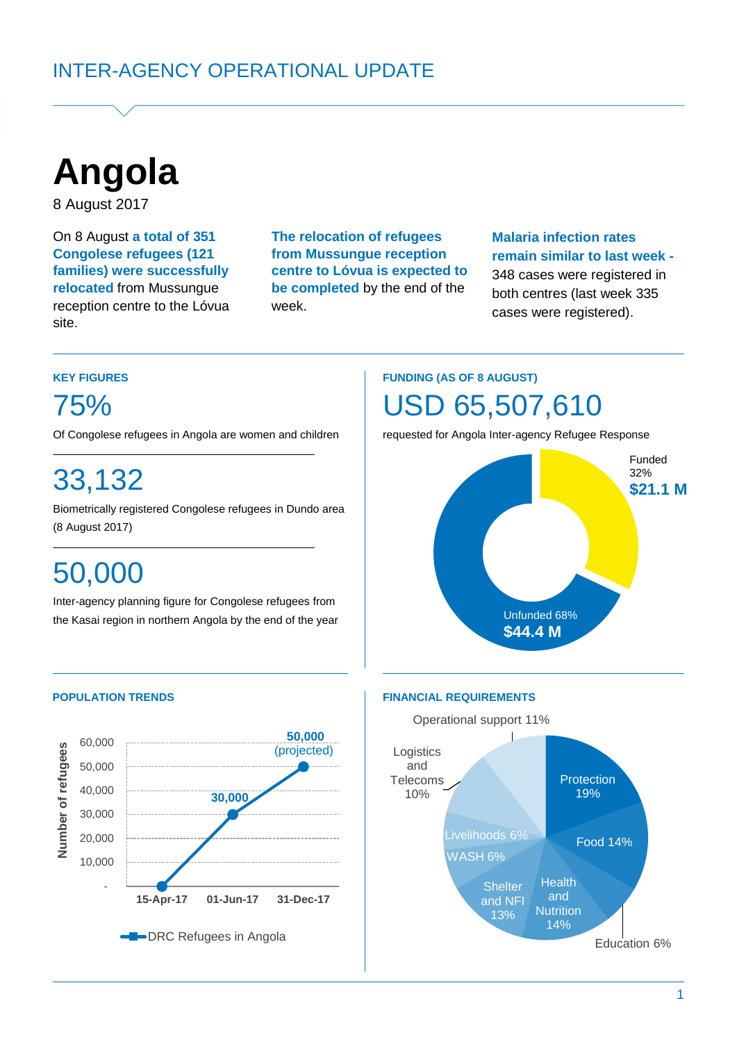

8 August 2017

On 8 August **a total of 351 Congolese refugees (121 families) were successfully relocated** from Mussungue reception centre to the Lóvua site.

**The relocation of refugees from Mussungue reception centre to Lóvua is expected to be completed** by the end of the week.

### **Malaria infection rates remain similar to last week -** 348 cases were registered in both centres (last week 335 cases were registered).

### **KEY FIGURES**

75%

Of Congolese refugees in Angola are women and children

# 33,132

Biometrically registered Congolese refugees in Dundo area (8 August 2017) (5 July 2017)**. June)**

# 50,000

Inter-agency planning figure for Congolese refugees from the Kasai region in northern Angola by the end of the year

# **FUNDING (AS OF 8 AUGUST)**

# USD 65,507,610

requested for Angola Inter-agency Refugee Response





#### **POPULATION TRENDS FINANCIAL REQUIREMENTS**

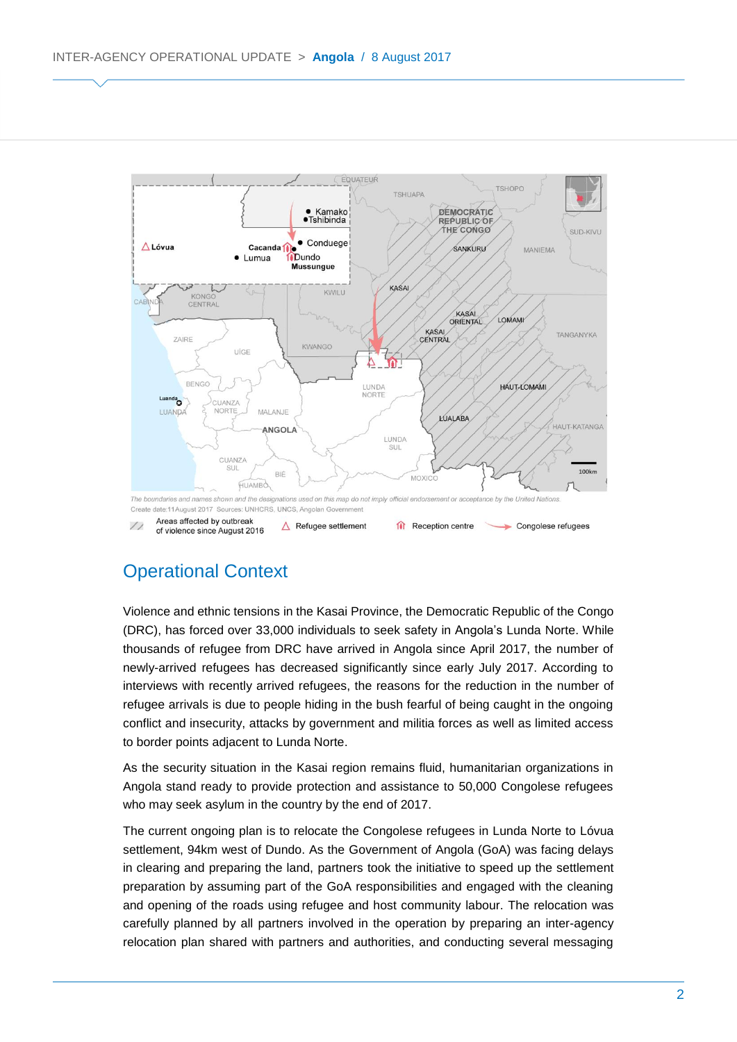

# Operational Context

Violence and ethnic tensions in the Kasai Province, the Democratic Republic of the Congo (DRC), has forced over 33,000 individuals to seek safety in Angola's Lunda Norte. While thousands of refugee from DRC have arrived in Angola since April 2017, the number of newly-arrived refugees has decreased significantly since early July 2017. According to interviews with recently arrived refugees, the reasons for the reduction in the number of refugee arrivals is due to people hiding in the bush fearful of being caught in the ongoing conflict and insecurity, attacks by government and militia forces as well as limited access to border points adjacent to Lunda Norte.

As the security situation in the Kasai region remains fluid, humanitarian organizations in Angola stand ready to provide protection and assistance to 50,000 Congolese refugees who may seek asylum in the country by the end of 2017.

The current ongoing plan is to relocate the Congolese refugees in Lunda Norte to Lóvua settlement, 94km west of Dundo. As the Government of Angola (GoA) was facing delays in clearing and preparing the land, partners took the initiative to speed up the settlement preparation by assuming part of the GoA responsibilities and engaged with the cleaning and opening of the roads using refugee and host community labour. The relocation was carefully planned by all partners involved in the operation by preparing an inter-agency relocation plan shared with partners and authorities, and conducting several messaging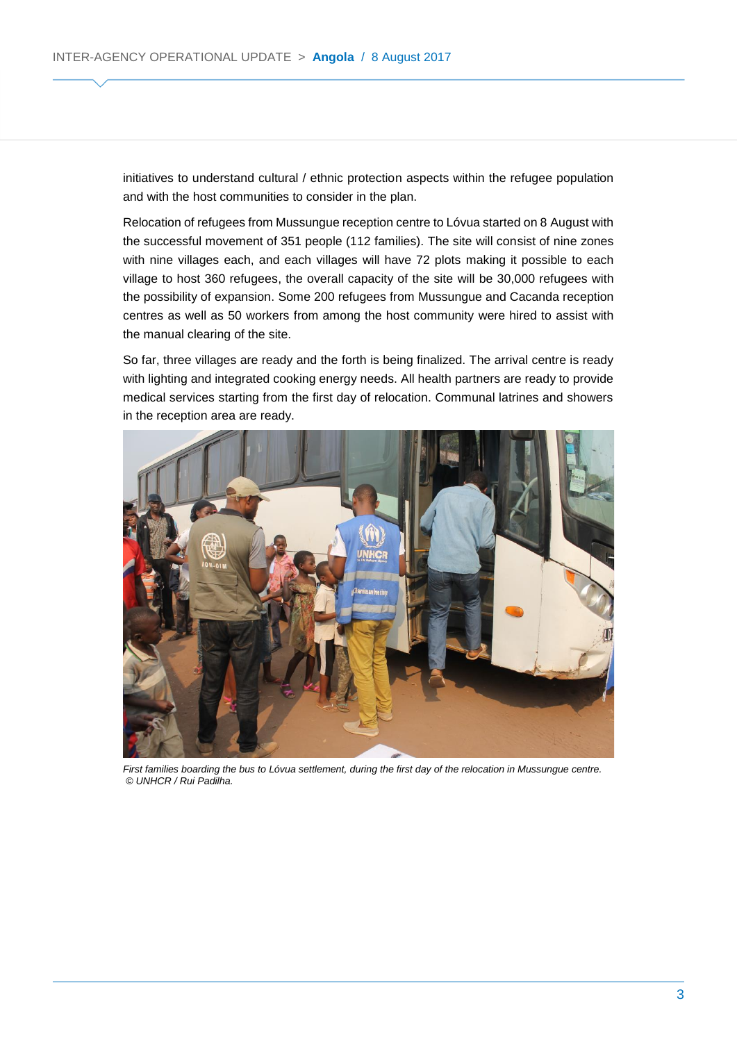initiatives to understand cultural / ethnic protection aspects within the refugee population and with the host communities to consider in the plan.

Relocation of refugees from Mussungue reception centre to Lóvua started on 8 August with the successful movement of 351 people (112 families). The site will consist of nine zones with nine villages each, and each villages will have 72 plots making it possible to each village to host 360 refugees, the overall capacity of the site will be 30,000 refugees with the possibility of expansion. Some 200 refugees from Mussungue and Cacanda reception centres as well as 50 workers from among the host community were hired to assist with the manual clearing of the site.

So far, three villages are ready and the forth is being finalized. The arrival centre is ready with lighting and integrated cooking energy needs. All health partners are ready to provide medical services starting from the first day of relocation. Communal latrines and showers in the reception area are ready.



First families boarding the bus to Lóvua settlement, during the first day of the relocation in Mussungue centre. *© UNHCR / Rui Padilha.*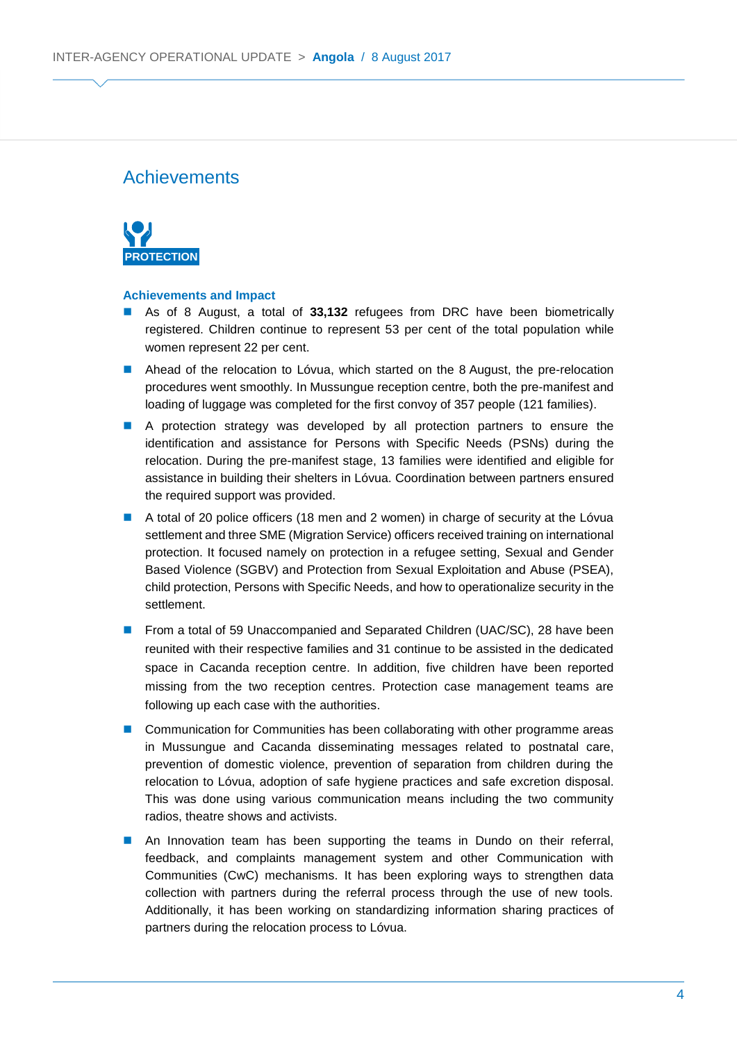### **Achievements**



#### **Achievements and Impact**

- As of 8 August, a total of **33,132** refugees from DRC have been biometrically registered. Children continue to represent 53 per cent of the total population while women represent 22 per cent.
- **Ahead of the relocation to Lóvua, which started on the 8 August, the pre-relocation** procedures went smoothly. In Mussungue reception centre, both the pre-manifest and loading of luggage was completed for the first convoy of 357 people (121 families).
- A protection strategy was developed by all protection partners to ensure the identification and assistance for Persons with Specific Needs (PSNs) during the relocation. During the pre-manifest stage, 13 families were identified and eligible for assistance in building their shelters in Lóvua. Coordination between partners ensured the required support was provided.
- A total of 20 police officers (18 men and 2 women) in charge of security at the Lóvua settlement and three SME (Migration Service) officers received training on international protection. It focused namely on protection in a refugee setting, Sexual and Gender Based Violence (SGBV) and Protection from Sexual Exploitation and Abuse (PSEA), child protection, Persons with Specific Needs, and how to operationalize security in the settlement.
- **From a total of 59 Unaccompanied and Separated Children (UAC/SC), 28 have been** reunited with their respective families and 31 continue to be assisted in the dedicated space in Cacanda reception centre. In addition, five children have been reported missing from the two reception centres. Protection case management teams are following up each case with the authorities.
- Communication for Communities has been collaborating with other programme areas in Mussungue and Cacanda disseminating messages related to postnatal care, prevention of domestic violence, prevention of separation from children during the relocation to Lóvua, adoption of safe hygiene practices and safe excretion disposal. This was done using various communication means including the two community radios, theatre shows and activists.
- **An Innovation team has been supporting the teams in Dundo on their referral,** feedback, and complaints management system and other Communication with Communities (CwC) mechanisms. It has been exploring ways to strengthen data collection with partners during the referral process through the use of new tools. Additionally, it has been working on standardizing information sharing practices of partners during the relocation process to Lóvua.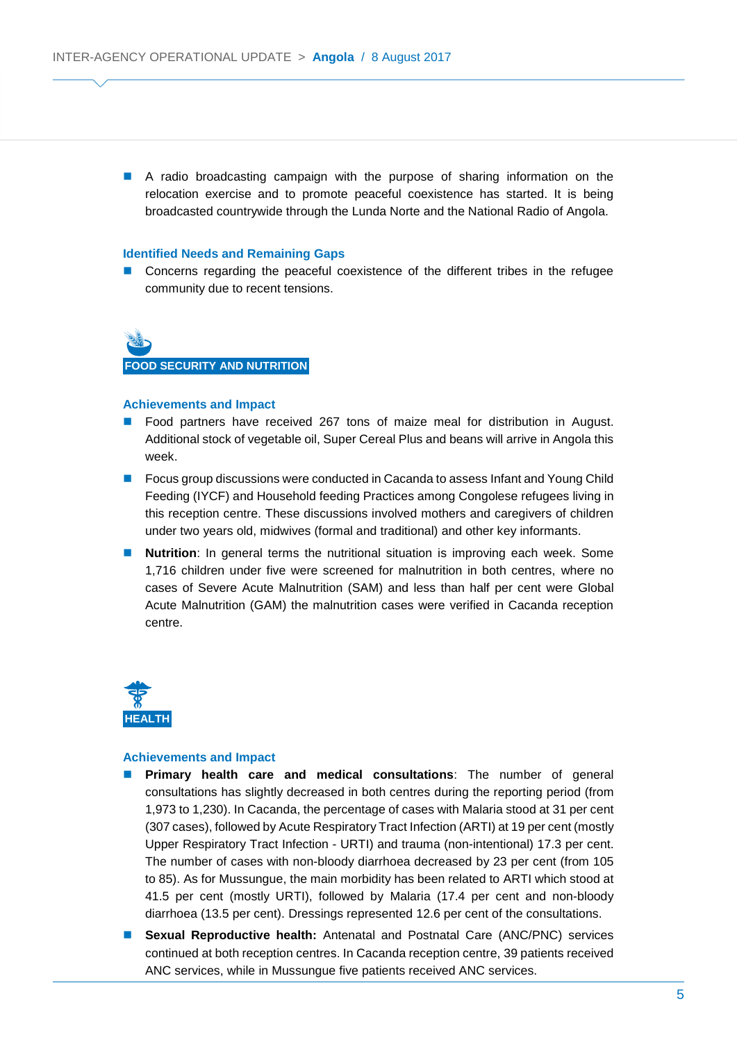A radio broadcasting campaign with the purpose of sharing information on the relocation exercise and to promote peaceful coexistence has started. It is being broadcasted countrywide through the Lunda Norte and the National Radio of Angola.

#### **Identified Needs and Remaining Gaps**

**Concerns regarding the peaceful coexistence of the different tribes in the refugee** community due to recent tensions.

**FOOD SECURITY AND NUTRITION**

#### **Achievements and Impact**

- **Food partners have received 267 tons of maize meal for distribution in August.** Additional stock of vegetable oil, Super Cereal Plus and beans will arrive in Angola this week.
- **Focus group discussions were conducted in Cacanda to assess Infant and Young Child** Feeding (IYCF) and Household feeding Practices among Congolese refugees living in this reception centre. These discussions involved mothers and caregivers of children under two years old, midwives (formal and traditional) and other key informants.
- **Nutrition**: In general terms the nutritional situation is improving each week. Some 1,716 children under five were screened for malnutrition in both centres, where no cases of Severe Acute Malnutrition (SAM) and less than half per cent were Global Acute Malnutrition (GAM) the malnutrition cases were verified in Cacanda reception centre.



#### **Achievements and Impact**

- **Primary health care and medical consultations**: The number of general consultations has slightly decreased in both centres during the reporting period (from 1,973 to 1,230). In Cacanda, the percentage of cases with Malaria stood at 31 per cent (307 cases), followed by Acute Respiratory Tract Infection (ARTI) at 19 per cent (mostly Upper Respiratory Tract Infection - URTI) and trauma (non-intentional) 17.3 per cent. The number of cases with non-bloody diarrhoea decreased by 23 per cent (from 105 to 85). As for Mussungue, the main morbidity has been related to ARTI which stood at 41.5 per cent (mostly URTI), followed by Malaria (17.4 per cent and non-bloody diarrhoea (13.5 per cent). Dressings represented 12.6 per cent of the consultations.
- **Sexual Reproductive health:** Antenatal and Postnatal Care (ANC/PNC) services continued at both reception centres. In Cacanda reception centre, 39 patients received ANC services, while in Mussungue five patients received ANC services.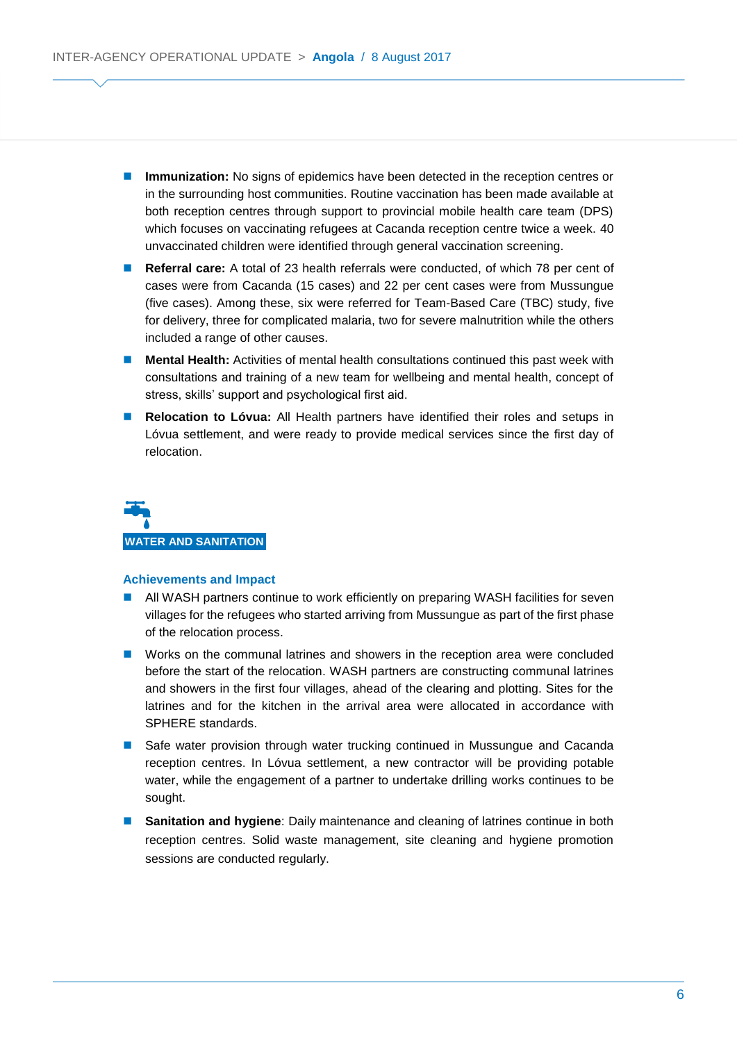- **Immunization:** No signs of epidemics have been detected in the reception centres or in the surrounding host communities. Routine vaccination has been made available at both reception centres through support to provincial mobile health care team (DPS) which focuses on vaccinating refugees at Cacanda reception centre twice a week. 40 unvaccinated children were identified through general vaccination screening.
- **Referral care:** A total of 23 health referrals were conducted, of which 78 per cent of cases were from Cacanda (15 cases) and 22 per cent cases were from Mussungue (five cases). Among these, six were referred for Team-Based Care (TBC) study, five for delivery, three for complicated malaria, two for severe malnutrition while the others included a range of other causes.
- **Mental Health:** Activities of mental health consultations continued this past week with consultations and training of a new team for wellbeing and mental health, concept of stress, skills' support and psychological first aid.
- **Relocation to Lóvua:** All Health partners have identified their roles and setups in Lóvua settlement, and were ready to provide medical services since the first day of relocation.



#### **Achievements and Impact**

- All WASH partners continue to work efficiently on preparing WASH facilities for seven villages for the refugees who started arriving from Mussungue as part of the first phase of the relocation process.
- **Norks on the communal latrines and showers in the reception area were concluded** before the start of the relocation. WASH partners are constructing communal latrines and showers in the first four villages, ahead of the clearing and plotting. Sites for the latrines and for the kitchen in the arrival area were allocated in accordance with SPHERE standards.
- **Safe water provision through water trucking continued in Mussungue and Cacanda** reception centres. In Lóvua settlement, a new contractor will be providing potable water, while the engagement of a partner to undertake drilling works continues to be sought.
- **Sanitation and hygiene**: Daily maintenance and cleaning of latrines continue in both reception centres. Solid waste management, site cleaning and hygiene promotion sessions are conducted regularly.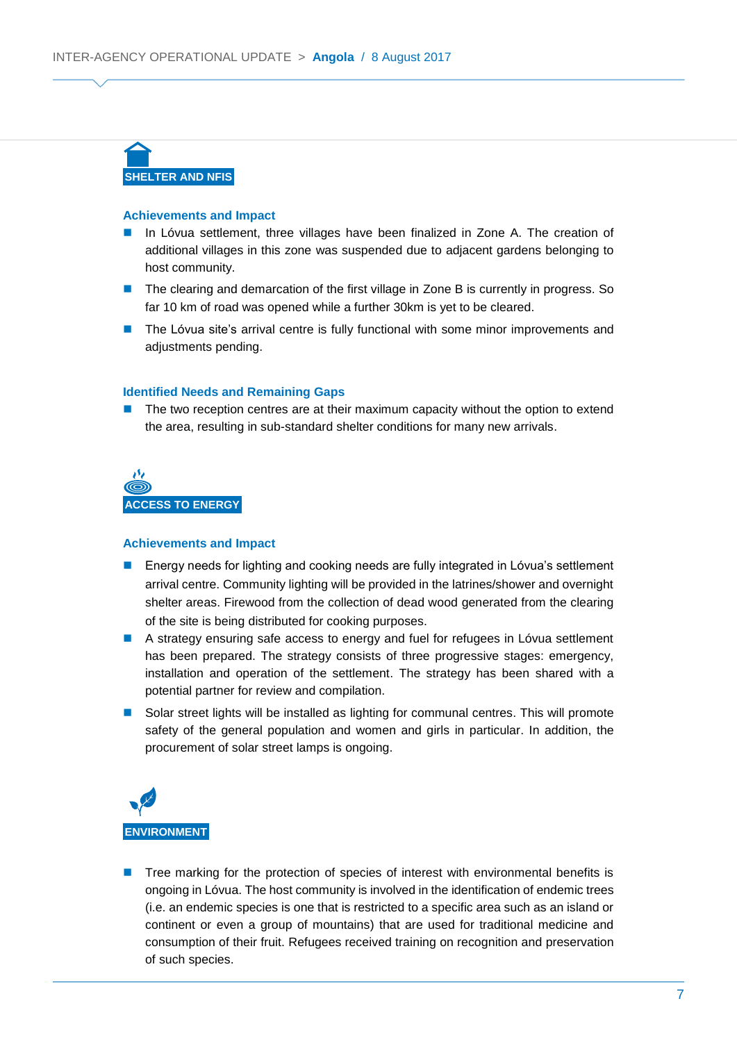

#### **Achievements and Impact**

- In Lóvua settlement, three villages have been finalized in Zone A. The creation of additional villages in this zone was suspended due to adjacent gardens belonging to host community.
- **The clearing and demarcation of the first village in Zone B is currently in progress. So** far 10 km of road was opened while a further 30km is yet to be cleared.
- **The Lóvua site's arrival centre is fully functional with some minor improvements and** adiustments pending.

#### **Identified Needs and Remaining Gaps**

**The two reception centres are at their maximum capacity without the option to extend** the area, resulting in sub-standard shelter conditions for many new arrivals.



#### **Achievements and Impact**

- Energy needs for lighting and cooking needs are fully integrated in Lóvua's settlement arrival centre. Community lighting will be provided in the latrines/shower and overnight shelter areas. Firewood from the collection of dead wood generated from the clearing of the site is being distributed for cooking purposes.
- A strategy ensuring safe access to energy and fuel for refugees in Lóvua settlement has been prepared. The strategy consists of three progressive stages: emergency, installation and operation of the settlement. The strategy has been shared with a potential partner for review and compilation.
- Solar street lights will be installed as lighting for communal centres. This will promote safety of the general population and women and girls in particular. In addition, the procurement of solar street lamps is ongoing.



 Tree marking for the protection of species of interest with environmental benefits is ongoing in Lóvua. The host community is involved in the identification of endemic trees (i.e. an endemic species is one that is restricted to a specific area such as an island or continent or even a group of mountains) that are used for traditional medicine and consumption of their fruit. Refugees received training on recognition and preservation of such species.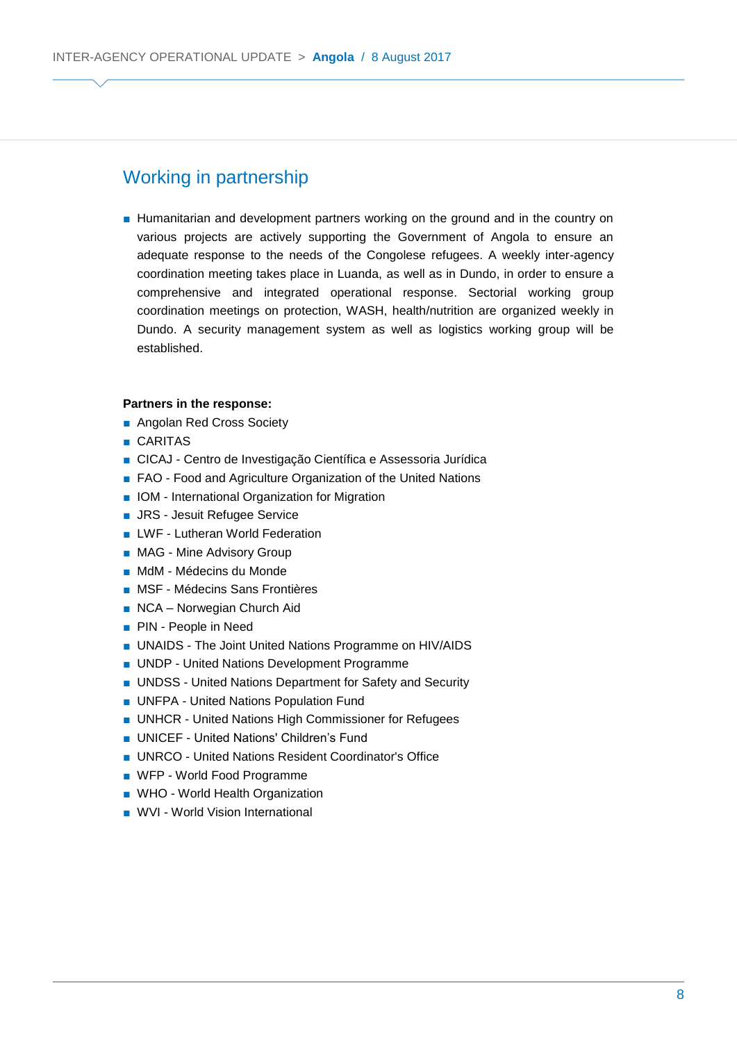## Working in partnership

■ Humanitarian and development partners working on the ground and in the country on various projects are actively supporting the Government of Angola to ensure an adequate response to the needs of the Congolese refugees. A weekly inter-agency coordination meeting takes place in Luanda, as well as in Dundo, in order to ensure a comprehensive and integrated operational response. Sectorial working group coordination meetings on protection, WASH, health/nutrition are organized weekly in Dundo. A security management system as well as logistics working group will be established.

#### **Partners in the response:**

- Angolan Red Cross Society
- CARITAS
- CICAJ Centro de Investigação Científica e Assessoria Jurídica
- FAO Food and Agriculture Organization of the United Nations
- IOM International Organization for Migration
- JRS Jesuit Refugee Service
- LWF Lutheran World Federation
- MAG Mine Advisory Group
- MdM Médecins du Monde
- MSF Médecins Sans Frontières
- NCA Norwegian Church Aid
- PIN People in Need
- UNAIDS The Joint United Nations Programme on HIV/AIDS
- UNDP United Nations Development Programme
- UNDSS United Nations Department for Safety and Security
- UNFPA United Nations Population Fund
- UNHCR United Nations High Commissioner for Refugees
- UNICEF United Nations' Children's Fund
- UNRCO United Nations Resident Coordinator's Office
- WFP World Food Programme
- WHO World Health Organization
- WVI World Vision International